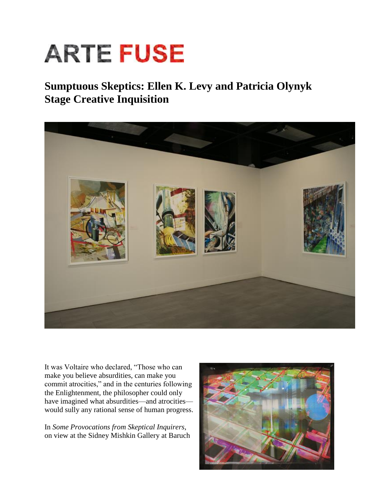## **ARTE FUSE**

## **Sumptuous Skeptics: Ellen K. Levy and Patricia Olynyk Stage Creative Inquisition**



It was Voltaire who declared, "Those who can make you believe absurdities, can make you commit atrocities," and in the centuries following the Enlightenment, the philosopher could only have imagined what absurdities—and atrocities would sully any rational sense of human progress.

In *Some Provocations from Skeptical Inquirers*, on view at the Sidney Mishkin Gallery at Baruch

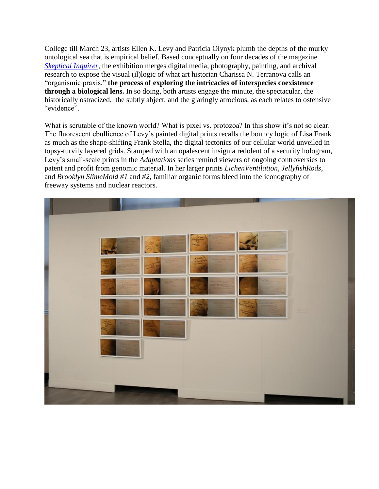College till March 23, artists Ellen K. Levy and Patricia Olynyk plumb the depths of the murky ontological sea that is empirical belief. Based conceptually on four decades of the magazine *Skeptical Inquirer*, the exhibition merges digital media, photography, painting, and archival research to expose the visual (il)logic of what art historian Charissa N. Terranova calls an "organismic praxis," **the process of exploring the intricacies of interspecies coexistence through a biological lens.** In so doing, both artists engage the minute, the spectacular, the historically ostracized, the subtly abject, and the glaringly atrocious, as each relates to ostensive "evidence".

What is scrutable of the known world? What is pixel vs. protozoa? In this show it's not so clear. The fluorescent ebullience of Levy's painted digital prints recalls the bouncy logic of Lisa Frank as much as the shape-shifting Frank Stella, the digital tectonics of our cellular world unveiled in topsy-turvily layered grids. Stamped with an opalescent insignia redolent of a security hologram, Levy's small-scale prints in the *Adaptations* series remind viewers of ongoing controversies to patent and profit from genomic material. In her larger prints *LichenVentilation*, *JellyfishRods*, and *Brooklyn SlimeMold #1* and *#2*, familiar organic forms bleed into the iconography of freeway systems and nuclear reactors.